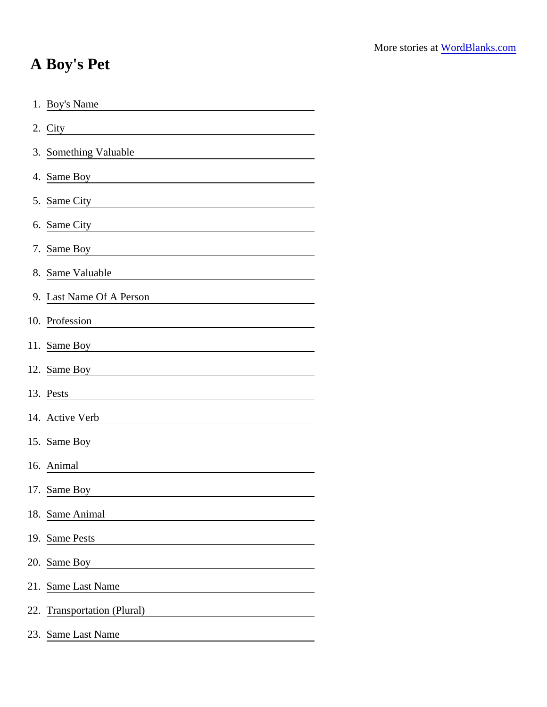## A Boy's Pet

| 2. City                                                                                                                                                                                                                             |
|-------------------------------------------------------------------------------------------------------------------------------------------------------------------------------------------------------------------------------------|
| 3. Something Valuable<br><u> 1980 - Johann Barn, mars eta bainar eta baina eta baina eta baina eta baina eta baina eta baina eta baina e</u>                                                                                        |
| 4. Same Boy <b>All Accords</b> 2014 12:00 12:00 12:00 12:00 12:00 12:00 12:00 12:00 12:00 12:00 12:00 12:00 12:00 12:00 12:00 12:00 12:00 12:00 12:00 12:00 12:00 12:00 12:00 12:00 12:00 12:00 12:00 12:00 12:00 12:00 12:00 12:00 |
| 5. Same City                                                                                                                                                                                                                        |
| 6. Same City                                                                                                                                                                                                                        |
| 7. Same Boy<br><u> 1989 - Jan Stein Stein Stein Stein Stein Stein Stein Stein Stein Stein Stein Stein Stein Stein Stein Stein S</u>                                                                                                 |
| 8. Same Valuable<br><u> 1989 - Andrea State Barbara, amerikan per</u>                                                                                                                                                               |
| 9. Last Name Of A Person<br><u> 1980 - Andrea Station Barbara, amerikan per</u>                                                                                                                                                     |
| 10. Profession                                                                                                                                                                                                                      |
| 11. Same Boy ________________________                                                                                                                                                                                               |
| 12. Same Boy <b>Product Contract Contract Contract Contract Contract Contract Contract Contract Contract Contract</b>                                                                                                               |
| 13. Pests<br><u> 1980 - Andrea Station Barbara, amerikan personal (h. 1980).</u>                                                                                                                                                    |
| 14. Active Verb                                                                                                                                                                                                                     |
| 15. Same Boy                                                                                                                                                                                                                        |
| 16. Animal                                                                                                                                                                                                                          |
| 17. Same Boy                                                                                                                                                                                                                        |
| 18. Same Animal                                                                                                                                                                                                                     |
| 19. Same Pests                                                                                                                                                                                                                      |
| 20. Same Boy                                                                                                                                                                                                                        |
| 21. Same Last Name                                                                                                                                                                                                                  |
| 22. Transportation (Plural)                                                                                                                                                                                                         |
| 23. Same Last Name                                                                                                                                                                                                                  |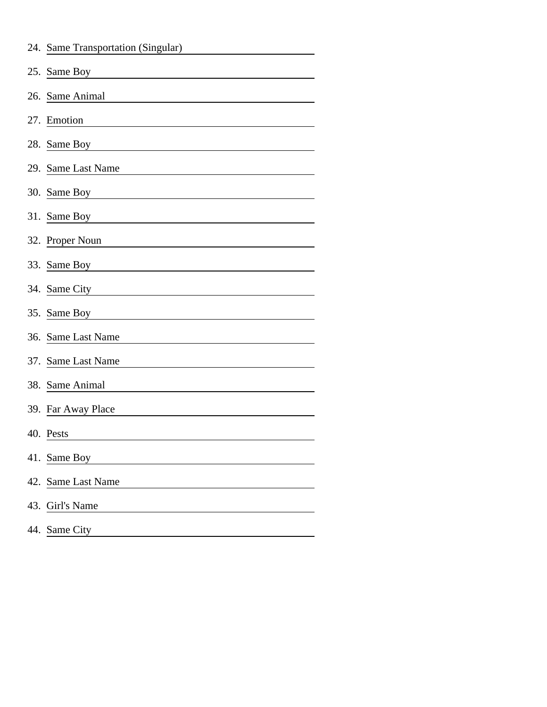| 24. Same Transportation (Singular) |
|------------------------------------|
| 25. Same Boy                       |
| 26. Same Animal                    |
| 27. Emotion                        |
| 28. Same Boy                       |
| 29. Same Last Name                 |
|                                    |
| 31. Same Boy                       |
| 32. Proper Noun                    |
| 33. Same Boy                       |
| 34. Same City                      |
| 35. Same Boy                       |
| 36. Same Last Name                 |
| 37. Same Last Name                 |
| 38. Same Animal                    |
| 39. Far Away Place                 |
| 40. Pests                          |
| 41. Same Boy                       |
| 42. Same Last Name                 |
| 43. Girl's Name                    |
| 44. Same City                      |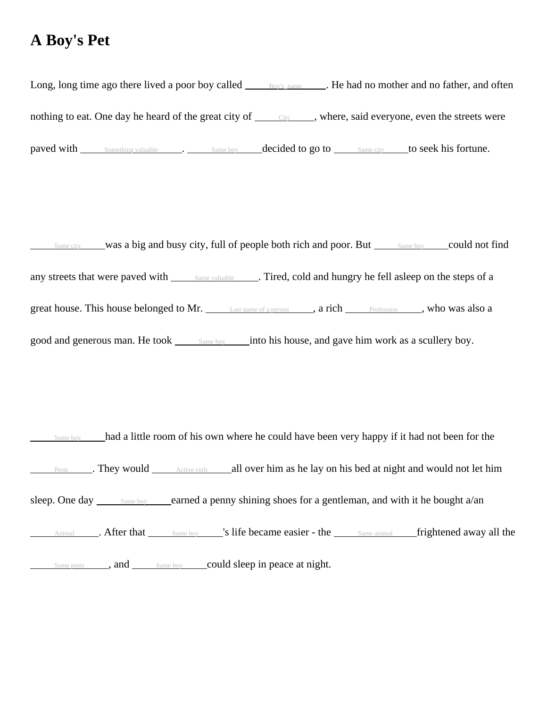## **A Boy's Pet**



Same boy had a little room of his own where he could have been very happy if it had not been for the  $\frac{p_{\text{ests}}}{}$  . They would  $\frac{p_{\text{cstis}}}{}$  all over him as he lay on his bed at night and would not let him sleep. One day Same boy earned a penny shining shoes for a gentleman, and with it he bought a/an Animal . After that Same boy 's life became easier - the Same animal frightened away all the Same pests , and Same boy could sleep in peace at night.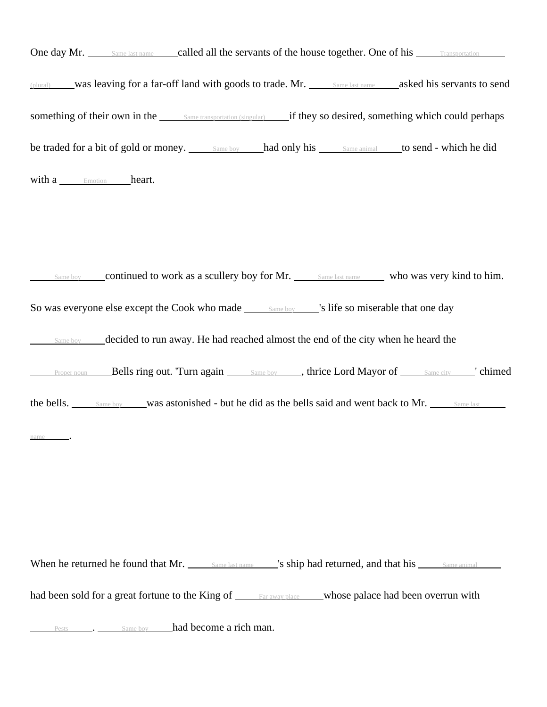| <b>One day Mr.</b> Same last name called all the servants of the house together. One of his Transportation                                        |
|---------------------------------------------------------------------------------------------------------------------------------------------------|
| (plural) was leaving for a far-off land with goods to trade. Mr. Same last name asked his servants to send                                        |
| something of their own in the <u>same transportation (singular</u> ) if they so desired, something which could perhaps                            |
| be traded for a bit of gold or money. <u>Same boy</u> had only his Same animal to send - which he did                                             |
| with a Emotion heart.                                                                                                                             |
|                                                                                                                                                   |
|                                                                                                                                                   |
| Same boy continued to work as a scullery boy for Mr. Same last name who was very kind to him.                                                     |
| So was everyone else except the Cook who made $\_\_\_\_\$ same boy same <b>Same Same</b> boy same <b>Same</b> boy same <b>Same</b> boy            |
| Same boy decided to run away. He had reached almost the end of the city when he heard the                                                         |
| <b>Example 2018</b> Proper noun <b>nally Collect Bells ring out. 'Turn again</b> Same boy <b>Same boy</b> , thrice Lord Mayor of Same city chimed |
| the bells. Same boy was astonished - but he did as the bells said and went back to Mr. Same last                                                  |
|                                                                                                                                                   |
|                                                                                                                                                   |
|                                                                                                                                                   |
|                                                                                                                                                   |
| When he returned he found that Mr. Same last name Some is ship had returned, and that his Same animal                                             |
| had been sold for a great fortune to the King of <u>Faraway place</u> whose palace had been overrun with                                          |
| had become a rich man.<br>Same boy                                                                                                                |